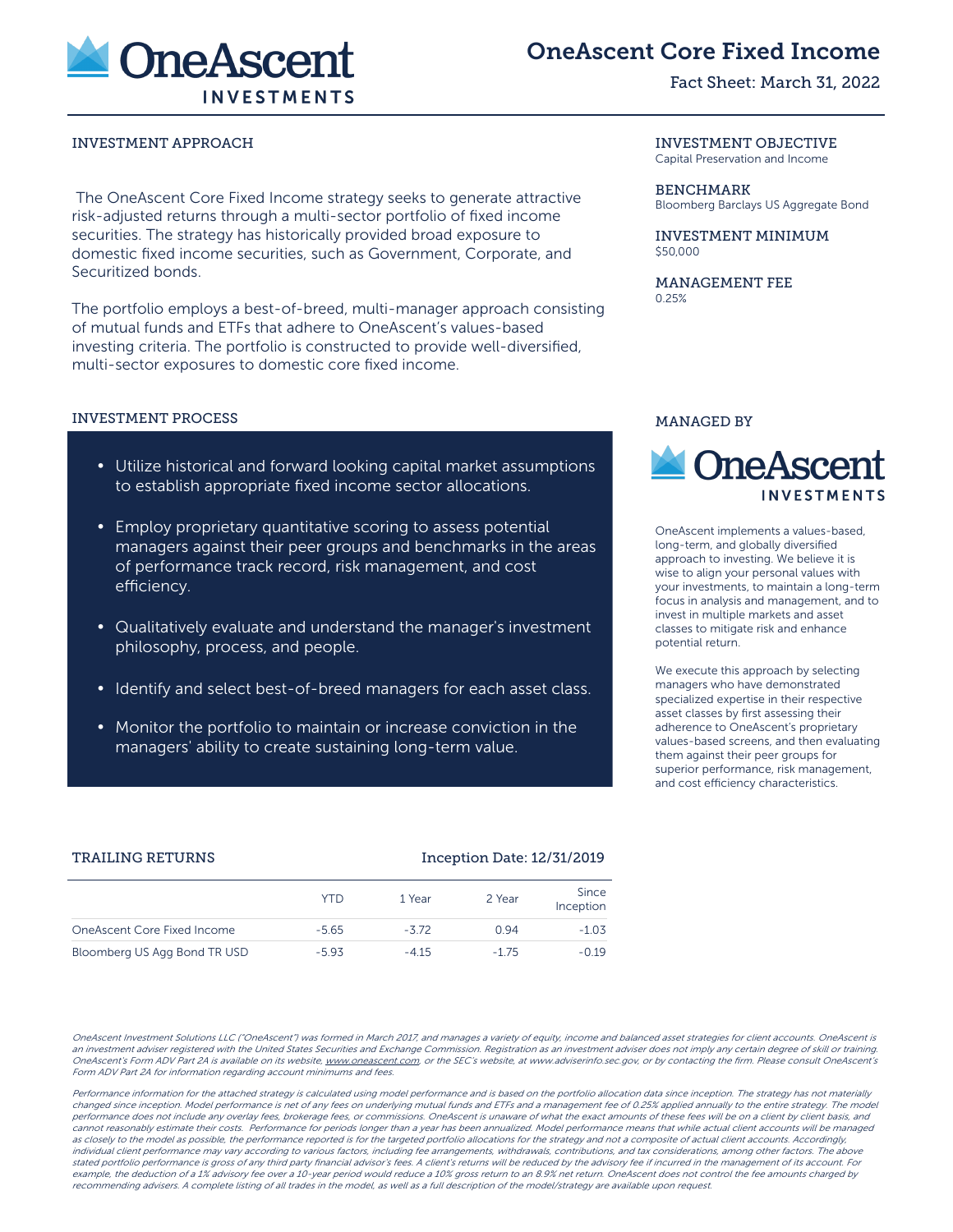

# OneAscent Core Fixed Income

## Fact Sheet: March 31, 2022

## INVESTMENT APPROACH INVESTMENT OBJECTIVE

The OneAscent Core Fixed Income strategy seeks to generate attractive risk-adjusted returns through a multi-sector portfolio of fixed income securities. The strategy has historically provided broad exposure to domestic fixed income securities, such as Government, Corporate, and Securitized bonds.

The portfolio employs a best-of-breed, multi-manager approach consisting of mutual funds and ETFs that adhere to OneAscent's values-based investing criteria. The portfolio is constructed to provide well-diversified, multi-sector exposures to domestic core fixed income.

## INVESTMENT PROCESS

- Utilize historical and forward looking capital market assumptions to establish appropriate fixed income sector allocations.
- Employ proprietary quantitative scoring to assess potential managers against their peer groups and benchmarks in the areas of performance track record, risk management, and cost efficiency.
- Qualitatively evaluate and understand the manager's investment philosophy, process, and people.
- Identify and select best-of-breed managers for each asset class.
- Monitor the portfolio to maintain or increase conviction in the managers' ability to create sustaining long-term value.

Capital Preservation and Income

## BENCHMARK

Bloomberg Barclays US Aggregate Bond

#### INVESTMENT MINIMUM  $$50,000$

MANAGEMENT FEE 0.25%

## MANAGED BY



OneAscent implements a values-based, long-term, and globally diversified approach to investing. We believe it is wise to align your personal values with your investments, to maintain a long-term focus in analysis and management, and to invest in multiple markets and asset classes to mitigate risk and enhance potential return.

We execute this approach by selecting managers who have demonstrated specialized expertise in their respective asset classes by first assessing their adherence to OneAscent's proprietary values-based screens, and then evaluating them against their peer groups for superior performance, risk management, and cost efficiency characteristics.

#### TRAILING RETURNS Inception Date: 12/31/2019

|                              | YTD     | 1 Year | 2 Year | Since<br>Inception |
|------------------------------|---------|--------|--------|--------------------|
| OneAscent Core Fixed Income  | $-5.65$ | $-372$ | 0.94   | $-1.03$            |
| Bloomberg US Agg Bond TR USD | $-5.93$ | $-415$ | $-175$ | $-0.19$            |

OneAscent Investment Solutions LLC ("OneAscent") was formed in March 2017, and manages a variety of equity, income and balanced asset strategies for client accounts. OneAscent is an investment adviser registered with the United States Securities and Exchange Commission. Registration as an investment adviser does not imply any certain degree of skill or training. OneAscent's Form ADV Part 2A is available on its website, www.oneascent.com, or the SEC's website, at www.adviserinfo.sec.gov, or by contacting the firm. Please consult OneAscent's Form ADV Part 2A for information regarding account minimums and fees.

Performance information for the attached strategy is calculated using model performance and is based on the portfolio allocation data since inception. The strategy has not materially changed since inception. Model performance is net of any fees on underlying mutual funds and ETFs and a management fee of 0.25% applied annually to the entire strategy. The model performance does not include any overlay fees, brokerage fees, or commissions. OneAscent is unaware of what the exact amounts of these fees will be on a client by client basis, and cannot reasonably estimate their costs. Performance for periods longer than a year has been annualized. Model performance means that while actual client accounts will be managed as closely to the model as possible, the performance reported is for the targeted portfolio allocations for the strategy and not a composite of actual client accounts. Accordingly, individual client performance may vary according to various factors, including fee arrangements, withdrawals, contributions, and tax considerations, among other factors. The above stated portfolio performance is gross of any third party financial advisor's fees. A client's returns will be reduced by the advisory fee if incurred in the management of its account. For example, the deduction of a 1% advisory fee over a 10-year period would reduce a 10% gross return to an 8.9% net return. OneAscent does not control the fee amounts charged by recommending advisers. A complete listing of all trades in the model, as well as a full description of the model/strategy are available upon request.